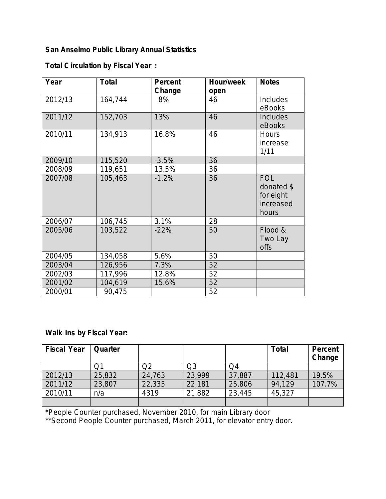## **San Anselmo Public Library Annual Statistics**

## **Total Circulation by Fiscal Year :**

| Year    | <b>Total</b> | Percent | Hour/week | <b>Notes</b> |
|---------|--------------|---------|-----------|--------------|
|         |              | Change  | open      |              |
| 2012/13 | 164,744      | 8%      | 46        | Includes     |
|         |              |         |           | eBooks       |
| 2011/12 | 152,703      | 13%     | 46        | Includes     |
|         |              |         |           | eBooks       |
| 2010/11 | 134,913      | 16.8%   | 46        | <b>Hours</b> |
|         |              |         |           | increase     |
|         |              |         |           | 1/11         |
| 2009/10 | 115,520      | $-3.5%$ | 36        |              |
| 2008/09 | 119,651      | 13.5%   | 36        |              |
| 2007/08 | 105,463      | $-1.2%$ | 36        | <b>FOL</b>   |
|         |              |         |           | donated \$   |
|         |              |         |           | for eight    |
|         |              |         |           | increased    |
|         |              |         |           | hours        |
| 2006/07 | 106,745      | 3.1%    | 28        |              |
| 2005/06 | 103,522      | $-22%$  | 50        | Flood &      |
|         |              |         |           | Two Lay      |
|         |              |         |           | <b>offs</b>  |
| 2004/05 | 134,058      | 5.6%    | 50        |              |
| 2003/04 | 126,956      | 7.3%    | 52        |              |
| 2002/03 | 117,996      | 12.8%   | 52        |              |
| 2001/02 | 104,619      | 15.6%   | 52        |              |
| 2000/01 | 90,475       |         | 52        |              |

## **Walk Ins by Fiscal Year:**

| <b>Fiscal Year</b> | Quarter |        |                |        | <b>Total</b> | Percent<br>Change |
|--------------------|---------|--------|----------------|--------|--------------|-------------------|
|                    | Э1      | Q2     | Q <sub>3</sub> | Q4     |              |                   |
| 2012/13            | 25,832  | 24,763 | 23,999         | 37,887 | 112,481      | 19.5%             |
| 2011/12            | 23,807  | 22,335 | 22,181         | 25,806 | 94,129       | 107.7%            |
| 2010/11            | n/a     | 4319   | 21.882         | 23,445 | 45,327       |                   |
|                    |         |        |                |        |              |                   |

**\***People Counter purchased, November 2010, for main Library door

\*\*Second People Counter purchased, March 2011, for elevator entry door.